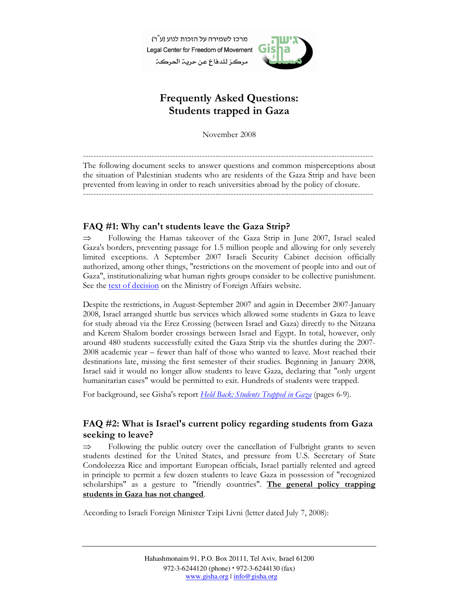מרכז לשמירה על הזכות לנוע (ע"ר) Legal Center for Freedom of Movement مركز للدفاع عن حرية الحركة



# Frequently Asked Questions: Students trapped in Gaza

November 2008

-------------------------------------------------------------------------------------------------------------- The following document seeks to answer questions and common misperceptions about the situation of Palestinian students who are residents of the Gaza Strip and have been prevented from leaving in order to reach universities abroad by the policy of closure. --------------------------------------------------------------------------------------------------------------

# FAQ #1: Why can't students leave the Gaza Strip?

⇒ Following the Hamas takeover of the Gaza Strip in June 2007, Israel sealed Gaza's borders, preventing passage for 1.5 million people and allowing for only severely limited exceptions. A September 2007 Israeli Security Cabinet decision officially authorized, among other things, "restrictions on the movement of people into and out of Gaza", institutionalizing what human rights groups consider to be collective punishment. See the text of decision on the Ministry of Foreign Affairs website.

Despite the restrictions, in August-September 2007 and again in December 2007-January 2008, Israel arranged shuttle bus services which allowed some students in Gaza to leave for study abroad via the Erez Crossing (between Israel and Gaza) directly to the Nitzana and Kerem Shalom border crossings between Israel and Egypt. In total, however, only around 480 students successfully exited the Gaza Strip via the shuttles during the 2007- 2008 academic year – fewer than half of those who wanted to leave. Most reached their destinations late, missing the first semester of their studies. Beginning in January 2008, Israel said it would no longer allow students to leave Gaza, declaring that "only urgent humanitarian cases" would be permitted to exit. Hundreds of students were trapped.

For background, see Gisha's report Held Back: Students Trapped in Gaza (pages 6-9).

# FAQ #2: What is Israel's current policy regarding students from Gaza seeking to leave?

⇒ Following the public outcry over the cancellation of Fulbright grants to seven students destined for the United States, and pressure from U.S. Secretary of State Condoleezza Rice and important European officials, Israel partially relented and agreed in principle to permit a few dozen students to leave Gaza in possession of "recognized scholarships" as a gesture to "friendly countries". The general policy trapping students in Gaza has not changed.

According to Israeli Foreign Minister Tzipi Livni (letter dated July 7, 2008):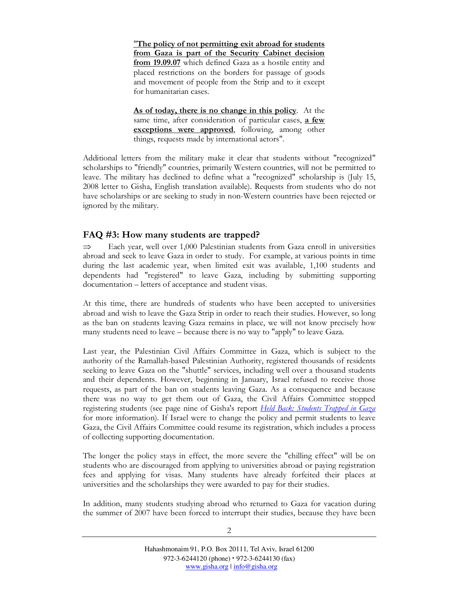"The policy of not permitting exit abroad for students from Gaza is part of the Security Cabinet decision from 19.09.07 which defined Gaza as a hostile entity and placed restrictions on the borders for passage of goods and movement of people from the Strip and to it except for humanitarian cases.

As of today, there is no change in this policy. At the same time, after consideration of particular cases, a few exceptions were approved, following, among other things, requests made by international actors".

Additional letters from the military make it clear that students without "recognized" scholarships to "friendly" countries, primarily Western countries, will not be permitted to leave. The military has declined to define what a "recognized" scholarship is (July 15, 2008 letter to Gisha, English translation available). Requests from students who do not have scholarships or are seeking to study in non-Western countries have been rejected or ignored by the military.

#### FAQ #3: How many students are trapped?

⇒ Each year, well over 1,000 Palestinian students from Gaza enroll in universities abroad and seek to leave Gaza in order to study. For example, at various points in time during the last academic year, when limited exit was available, 1,100 students and dependents had "registered" to leave Gaza, including by submitting supporting documentation – letters of acceptance and student visas.

At this time, there are hundreds of students who have been accepted to universities abroad and wish to leave the Gaza Strip in order to reach their studies. However, so long as the ban on students leaving Gaza remains in place, we will not know precisely how many students need to leave – because there is no way to "apply" to leave Gaza.

Last year, the Palestinian Civil Affairs Committee in Gaza, which is subject to the authority of the Ramallah-based Palestinian Authority, registered thousands of residents seeking to leave Gaza on the "shuttle" services, including well over a thousand students and their dependents. However, beginning in January, Israel refused to receive those requests, as part of the ban on students leaving Gaza. As a consequence and because there was no way to get them out of Gaza, the Civil Affairs Committee stopped registering students (see page nine of Gisha's report Held Back: Students Trapped in Gaza for more information). If Israel were to change the policy and permit students to leave Gaza, the Civil Affairs Committee could resume its registration, which includes a process of collecting supporting documentation.

The longer the policy stays in effect, the more severe the "chilling effect" will be on students who are discouraged from applying to universities abroad or paying registration fees and applying for visas. Many students have already forfeited their places at universities and the scholarships they were awarded to pay for their studies.

In addition, many students studying abroad who returned to Gaza for vacation during the summer of 2007 have been forced to interrupt their studies, because they have been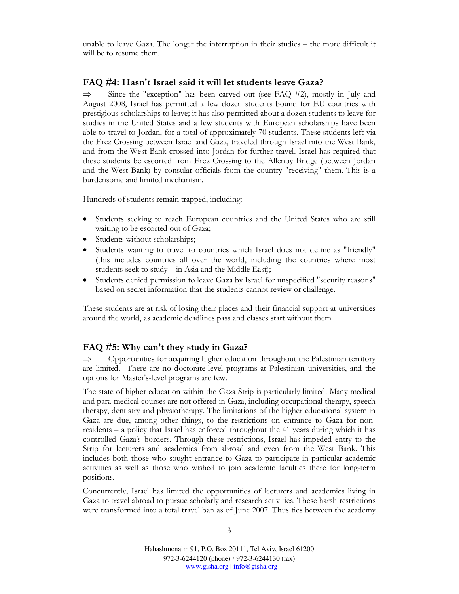unable to leave Gaza. The longer the interruption in their studies – the more difficult it will be to resume them.

#### FAQ #4: Hasn't Israel said it will let students leave Gaza?

 $\Rightarrow$  Since the "exception" has been carved out (see FAQ #2), mostly in July and August 2008, Israel has permitted a few dozen students bound for EU countries with prestigious scholarships to leave; it has also permitted about a dozen students to leave for studies in the United States and a few students with European scholarships have been able to travel to Jordan, for a total of approximately 70 students. These students left via the Erez Crossing between Israel and Gaza, traveled through Israel into the West Bank, and from the West Bank crossed into Jordan for further travel. Israel has required that these students be escorted from Erez Crossing to the Allenby Bridge (between Jordan and the West Bank) by consular officials from the country "receiving" them. This is a burdensome and limited mechanism.

Hundreds of students remain trapped, including:

- Students seeking to reach European countries and the United States who are still waiting to be escorted out of Gaza;
- Students without scholarships;
- Students wanting to travel to countries which Israel does not define as "friendly" (this includes countries all over the world, including the countries where most students seek to study – in Asia and the Middle East);
- Students denied permission to leave Gaza by Israel for unspecified "security reasons" based on secret information that the students cannot review or challenge.

These students are at risk of losing their places and their financial support at universities around the world, as academic deadlines pass and classes start without them.

### FAQ #5: Why can't they study in Gaza?

⇒ Opportunities for acquiring higher education throughout the Palestinian territory are limited. There are no doctorate-level programs at Palestinian universities, and the options for Master's-level programs are few.

The state of higher education within the Gaza Strip is particularly limited. Many medical and para-medical courses are not offered in Gaza, including occupational therapy, speech therapy, dentistry and physiotherapy. The limitations of the higher educational system in Gaza are due, among other things, to the restrictions on entrance to Gaza for nonresidents – a policy that Israel has enforced throughout the 41 years during which it has controlled Gaza's borders. Through these restrictions, Israel has impeded entry to the Strip for lecturers and academics from abroad and even from the West Bank. This includes both those who sought entrance to Gaza to participate in particular academic activities as well as those who wished to join academic faculties there for long-term positions.

Concurrently, Israel has limited the opportunities of lecturers and academics living in Gaza to travel abroad to pursue scholarly and research activities. These harsh restrictions were transformed into a total travel ban as of June 2007. Thus ties between the academy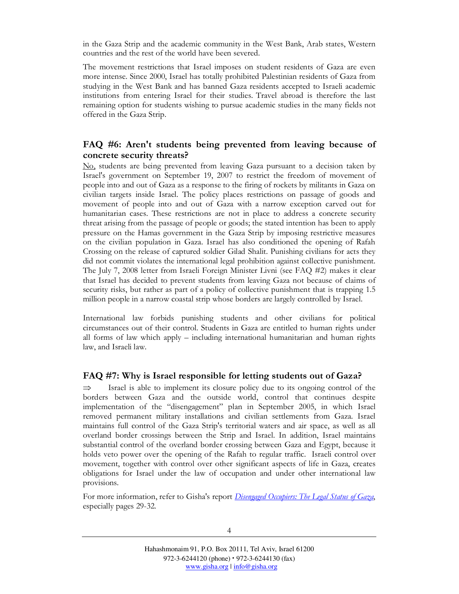in the Gaza Strip and the academic community in the West Bank, Arab states, Western countries and the rest of the world have been severed.

The movement restrictions that Israel imposes on student residents of Gaza are even more intense. Since 2000, Israel has totally prohibited Palestinian residents of Gaza from studying in the West Bank and has banned Gaza residents accepted to Israeli academic institutions from entering Israel for their studies. Travel abroad is therefore the last remaining option for students wishing to pursue academic studies in the many fields not offered in the Gaza Strip.

### FAQ #6: Aren't students being prevented from leaving because of concrete security threats?

No, students are being prevented from leaving Gaza pursuant to a decision taken by Israel's government on September 19, 2007 to restrict the freedom of movement of people into and out of Gaza as a response to the firing of rockets by militants in Gaza on civilian targets inside Israel. The policy places restrictions on passage of goods and movement of people into and out of Gaza with a narrow exception carved out for humanitarian cases. These restrictions are not in place to address a concrete security threat arising from the passage of people or goods; the stated intention has been to apply pressure on the Hamas government in the Gaza Strip by imposing restrictive measures on the civilian population in Gaza. Israel has also conditioned the opening of Rafah Crossing on the release of captured soldier Gilad Shalit. Punishing civilians for acts they did not commit violates the international legal prohibition against collective punishment. The July 7, 2008 letter from Israeli Foreign Minister Livni (see FAQ #2) makes it clear that Israel has decided to prevent students from leaving Gaza not because of claims of security risks, but rather as part of a policy of collective punishment that is trapping 1.5 million people in a narrow coastal strip whose borders are largely controlled by Israel.

International law forbids punishing students and other civilians for political circumstances out of their control. Students in Gaza are entitled to human rights under all forms of law which apply – including international humanitarian and human rights law, and Israeli law.

#### FAQ #7: Why is Israel responsible for letting students out of Gaza?

Israel is able to implement its closure policy due to its ongoing control of the borders between Gaza and the outside world, control that continues despite implementation of the "disengagement" plan in September 2005, in which Israel removed permanent military installations and civilian settlements from Gaza. Israel maintains full control of the Gaza Strip's territorial waters and air space, as well as all overland border crossings between the Strip and Israel. In addition, Israel maintains substantial control of the overland border crossing between Gaza and Egypt, because it holds veto power over the opening of the Rafah to regular traffic. Israeli control over movement, together with control over other significant aspects of life in Gaza, creates obligations for Israel under the law of occupation and under other international law provisions.

For more information, refer to Gisha's report *Disengaged Occupiers: The Legal Status of Gaza*, especially pages 29-32.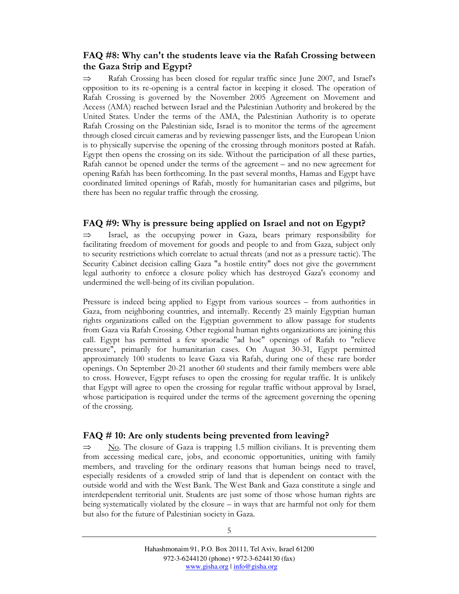## FAQ #8: Why can't the students leave via the Rafah Crossing between the Gaza Strip and Egypt?

Rafah Crossing has been closed for regular traffic since June 2007, and Israel's opposition to its re-opening is a central factor in keeping it closed. The operation of Rafah Crossing is governed by the November 2005 Agreement on Movement and Access (AMA) reached between Israel and the Palestinian Authority and brokered by the United States. Under the terms of the AMA, the Palestinian Authority is to operate Rafah Crossing on the Palestinian side, Israel is to monitor the terms of the agreement through closed circuit cameras and by reviewing passenger lists, and the European Union is to physically supervise the opening of the crossing through monitors posted at Rafah. Egypt then opens the crossing on its side. Without the participation of all these parties, Rafah cannot be opened under the terms of the agreement – and no new agreement for opening Rafah has been forthcoming. In the past several months, Hamas and Egypt have coordinated limited openings of Rafah, mostly for humanitarian cases and pilgrims, but there has been no regular traffic through the crossing.

#### FAQ #9: Why is pressure being applied on Israel and not on Egypt?

 $\Rightarrow$  Israel, as the occupying power in Gaza, bears primary responsibility for facilitating freedom of movement for goods and people to and from Gaza, subject only to security restrictions which correlate to actual threats (and not as a pressure tactic). The Security Cabinet decision calling Gaza "a hostile entity" does not give the government legal authority to enforce a closure policy which has destroyed Gaza's economy and undermined the well-being of its civilian population.

Pressure is indeed being applied to Egypt from various sources – from authorities in Gaza, from neighboring countries, and internally. Recently 23 mainly Egyptian human rights organizations called on the Egyptian government to allow passage for students from Gaza via Rafah Crossing. Other regional human rights organizations are joining this call. Egypt has permitted a few sporadic "ad hoc" openings of Rafah to "relieve pressure", primarily for humanitarian cases. On August 30-31, Egypt permitted approximately 100 students to leave Gaza via Rafah, during one of these rare border openings. On September 20-21 another 60 students and their family members were able to cross. However, Egypt refuses to open the crossing for regular traffic. It is unlikely that Egypt will agree to open the crossing for regular traffic without approval by Israel, whose participation is required under the terms of the agreement governing the opening of the crossing.

### FAQ # 10: Are only students being prevented from leaving?

 $\Rightarrow$  No. The closure of Gaza is trapping 1.5 million civilians. It is preventing them from accessing medical care, jobs, and economic opportunities, uniting with family members, and traveling for the ordinary reasons that human beings need to travel, especially residents of a crowded strip of land that is dependent on contact with the outside world and with the West Bank. The West Bank and Gaza constitute a single and interdependent territorial unit. Students are just some of those whose human rights are being systematically violated by the closure – in ways that are harmful not only for them but also for the future of Palestinian society in Gaza.